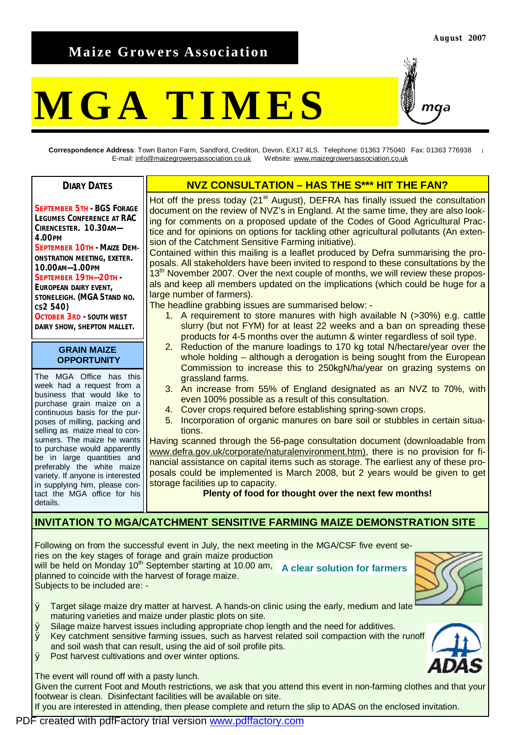# **Maize Growers Association**

# **MGA TIMES**

maa

**Correspondence Address**: Town Barton Farm, Sandford, Crediton, Devon. EX17 4LS. Telephone: 01363 775040 Fax: 01363 776938 E-mail: [info@maizegrowersassociation.co.uk](mailto:info@maizegrowersassociation.co.uk) Website: [www.maizegrowersassociation.co.uk](http://www.maizegrowersassociation.co.uk)

**DIARY DATES**

**SEPTEMBER 5TH - BGS FORAGE LEGUMES CONFERENCE AT RAC CIRENCESTER. 10.30AM— 4.00PM SEPTEMBER 10TH - MAIZE DEM-ONSTRATION MEETING, EXETER. 10.00AM—1.00PM SEPTEMBER 19TH—20TH - EUROPEAN DAIRY EVENT, STONELEIGH. (MGA STAND NO. CS2 540) OCTOBER 3RD - SOUTH WEST**

**DAIRY SHOW, SHEPTON MALLET.** 

#### **GRAIN MAIZE OPPORTUNITY**

The MGA Office has this week had a request from a business that would like to purchase grain maize on a continuous basis for the purposes of milling, packing and selling as maize meal to consumers. The maize he wants to purchase would apparently be in large quantities and preferably the white maize variety. If anyone is interested in supplying him, please contact the MGA office for his details.

## **NVZ CONSULTATION – HAS THE S\*\*\* HIT THE FAN?**

Hot off the press today (21<sup>st</sup> August), DEFRA has finally issued the consultation document on the review of NVZ's in England. At the same time, they are also looking for comments on a proposed update of the Codes of Good Agricultural Practice and for opinions on options for tackling other agricultural pollutants (An extension of the Catchment Sensitive Farming initiative).

Contained within this mailing is a leaflet produced by Defra summarising the proposals. All stakeholders have been invited to respond to these consultations by the 13<sup>th</sup> November 2007. Over the next couple of months, we will review these proposals and keep all members updated on the implications (which could be huge for a large number of farmers).

The headline grabbing issues are summarised below: -

- 1. A requirement to store manures with high available N (>30%) e.g. cattle slurry (but not FYM) for at least 22 weeks and a ban on spreading these products for 4-5 months over the autumn & winter regardless of soil type.
- 2. Reduction of the manure loadings to 170 kg total N/hectare/year over the whole holding – although a derogation is being sought from the European Commission to increase this to 250kgN/ha/year on grazing systems on grassland farms.
- 3. An increase from 55% of England designated as an NVZ to 70%, with even 100% possible as a result of this consultation.
- 4. Cover crops required before establishing spring-sown crops.
- 5. Incorporation of organic manures on bare soil or stubbles in certain situations.

Having scanned through the 56-page consultation document (downloadable from [www.defra.gov.uk/corporate/naturalenvironment.htm\),](http://www.defra.gov.uk/corporate/naturalenvironment.htm)) there is no provision for financial assistance on capital items such as storage. The earliest any of these proposals could be implemented is March 2008, but 2 years would be given to get storage facilities up to capacity.

#### **Plenty of food for thought over the next few months!**

### **INVITATION TO MGA/CATCHMENT SENSITIVE FARMING MAIZE DEMONSTRATION SITE**

Following on from the successful event in July, the next meeting in the MGA/CSF five event series on the key stages of forage and grain maize production will be held on Monday 10<sup>th</sup> September starting at 10.00 am, A clear solution for farmers planned to coincide with the harvest of forage maize. Subjects to be included are: -



- Ø Target silage maize dry matter at harvest. A hands-on clinic using the early, medium and late maturing varieties and maize under plastic plots on site.
- Ø Silage maize harvest issues including appropriate chop length and the need for additives.
- Ø Key catchment sensitive farming issues, such as harvest related soil compaction with the runoff and soil wash that can result, using the aid of soil profile pits.
- Ø Post harvest cultivations and over winter options.

The event will round off with a pasty lunch.

Given the current Foot and Mouth restrictions, we ask that you attend this event in non-farming clothes and that your footwear is clean. Disinfectant facilities will be available on site.

If you are interested in attending, then please complete and return the slip to ADAS on the enclosed invitation.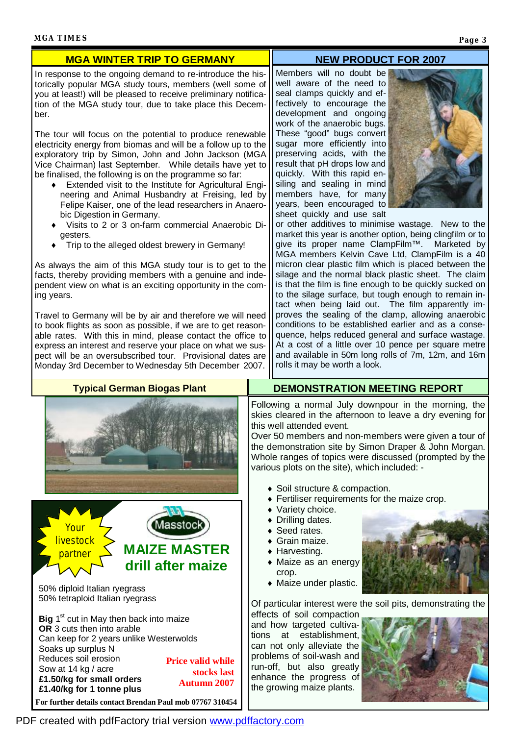#### **NEW PRODUCT FOR 2007**

In response to the ongoing demand to re-introduce the historically popular MGA study tours, members (well some of you at least!) will be pleased to receive preliminary notification of the MGA study tour, due to take place this December.

**MGA WINTER TRIP TO GERMANY** 

The tour will focus on the potential to produce renewable electricity energy from biomas and will be a follow up to the exploratory trip by Simon, John and John Jackson (MGA Vice Chairman) last September. While details have yet to be finalised, the following is on the programme so far:

- ♦ Extended visit to the Institute for Agricultural Engineering and Animal Husbandry at Freising, led by Felipe Kaiser, one of the lead researchers in Anaerobic Digestion in Germany.
- Visits to 2 or 3 on-farm commercial Anaerobic Digesters.
- Trip to the alleged oldest brewery in Germany!

As always the aim of this MGA study tour is to get to the facts, thereby providing members with a genuine and independent view on what is an exciting opportunity in the coming years.

Travel to Germany will be by air and therefore we will need to book flights as soon as possible, if we are to get reasonable rates. With this in mind, please contact the office to express an interest and reserve your place on what we suspect will be an oversubscribed tour. Provisional dates are Monday 3rd December to Wednesday 5th December 2007.

**Typical German Biogas Plant** 

Members will no doubt be well aware of the need to seal clamps quickly and effectively to encourage the development and ongoing work of the anaerobic bugs. These "good" bugs convert sugar more efficiently into preserving acids, with the result that pH drops low and quickly. With this rapid ensiling and sealing in mind members have, for many years, been encouraged to sheet quickly and use salt



or other additives to minimise wastage. New to the market this year is another option, being clingfilm or to give its proper name ClampFilm™. Marketed by MGA members Kelvin Cave Ltd, ClampFilm is a 40 micron clear plastic film which is placed between the silage and the normal black plastic sheet. The claim is that the film is fine enough to be quickly sucked on to the silage surface, but tough enough to remain intact when being laid out. The film apparently improves the sealing of the clamp, allowing anaerobic conditions to be established earlier and as a consequence, helps reduced general and surface wastage. At a cost of a little over 10 pence per square metre and available in 50m long rolls of 7m, 12m, and 16m rolls it may be worth a look.

| Following a normal July<br>skies cleared in the afterr<br>this well attended event.<br>Over 50 members and nor<br>the demonstration site by<br>Whole ranges of topics we<br>various plots on the site),<br>• Soil structure & com     |
|---------------------------------------------------------------------------------------------------------------------------------------------------------------------------------------------------------------------------------------|
| • Fertiliser requiremer<br>• Variety choice.<br>• Drilling dates.<br>• Seed rates.<br>$\bullet$ Grain maize.<br>$\bullet$ Harvesting.<br>• Maize as an energy<br>crop.<br>• Maize under plastic.                                      |
| Of particular interest were                                                                                                                                                                                                           |
| effects of soil compactior<br>and how targeted cultiva<br>establishment<br>tions<br>at<br>can not only alleviate the<br>problems of soil-wash and<br>run-off, but also greatly<br>enhance the progress o<br>the growing maize plants. |
|                                                                                                                                                                                                                                       |

#### **DEMONSTRATION MEETING REPORT**

al July downpour in the morning, the he afternoon to leave a dry evening for event

s and non-members were given a tour of i site by Simon Draper & John Morgan. topics were discussed (prompted by the e site), which included: -

- e & compaction.
- quirements for the maize crop.
- ♦ Variety choice.
- Drilling dates.
- Seed rates.
- $\bullet$  Grain maize.
- n energy



est were the soil pits, demonstrating the

mpaction d cultivalishment. viate the vash and areatly gress of e plants.